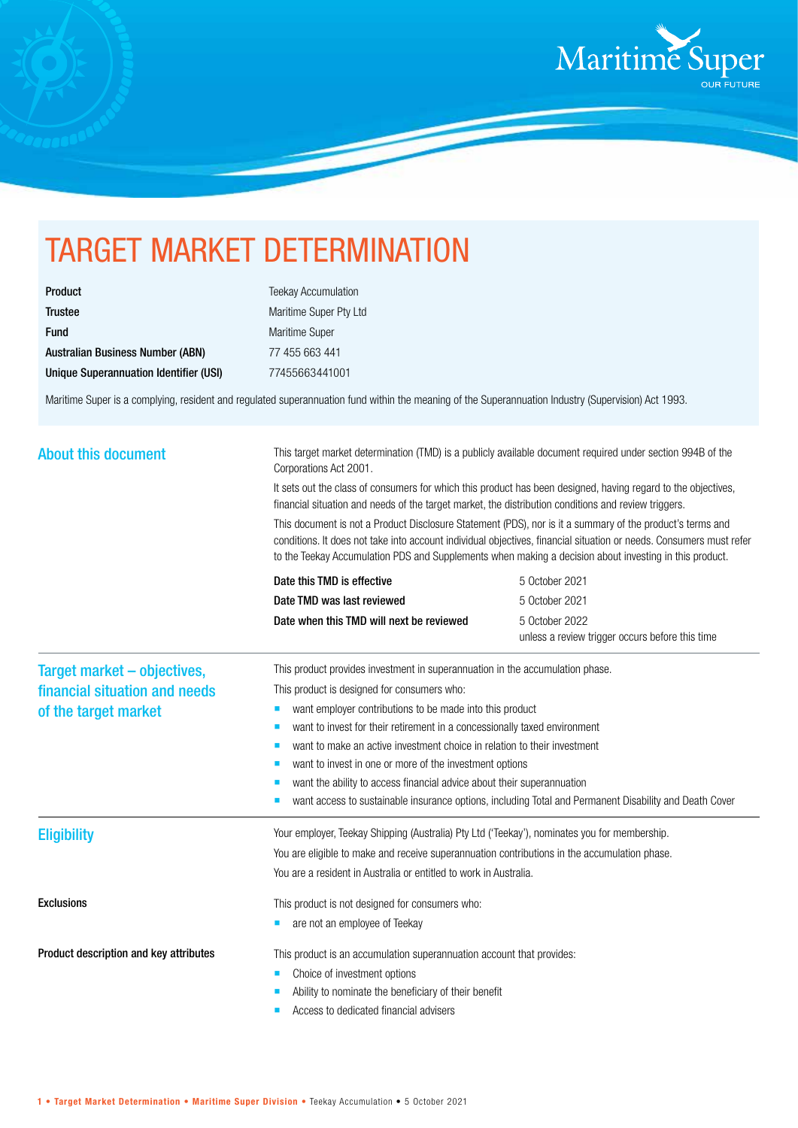

## TARGET MARKET DETERMINATION

| <b>Product</b>                          |
|-----------------------------------------|
| <b>Trustee</b>                          |
| <b>Fund</b>                             |
| <b>Australian Business Number (ABN)</b> |
| Unique Superannuation Identifier (USI)  |

**Teekay Accumulation** Maritime Super Pty Ltd Maritime Super 77 455 663 441 Unique Superannuation Identifier (USI) 77455663441001

Maritime Super is a complying, resident and regulated superannuation fund within the meaning of the Superannuation Industry (Supervision) Act 1993.

| <b>About this document</b>             | This target market determination (TMD) is a publicly available document required under section 994B of the<br>Corporations Act 2001.<br>It sets out the class of consumers for which this product has been designed, having regard to the objectives,<br>financial situation and needs of the target market, the distribution conditions and review triggers.<br>This document is not a Product Disclosure Statement (PDS), nor is it a summary of the product's terms and<br>conditions. It does not take into account individual objectives, financial situation or needs. Consumers must refer<br>to the Teekay Accumulation PDS and Supplements when making a decision about investing in this product. |                                          |                                                 |                            |                |
|----------------------------------------|-------------------------------------------------------------------------------------------------------------------------------------------------------------------------------------------------------------------------------------------------------------------------------------------------------------------------------------------------------------------------------------------------------------------------------------------------------------------------------------------------------------------------------------------------------------------------------------------------------------------------------------------------------------------------------------------------------------|------------------------------------------|-------------------------------------------------|----------------------------|----------------|
|                                        |                                                                                                                                                                                                                                                                                                                                                                                                                                                                                                                                                                                                                                                                                                             |                                          |                                                 | Date this TMD is effective | 5 October 2021 |
|                                        |                                                                                                                                                                                                                                                                                                                                                                                                                                                                                                                                                                                                                                                                                                             |                                          |                                                 | Date TMD was last reviewed | 5 October 2021 |
|                                        |                                                                                                                                                                                                                                                                                                                                                                                                                                                                                                                                                                                                                                                                                                             | Date when this TMD will next be reviewed | 5 October 2022                                  |                            |                |
|                                        |                                                                                                                                                                                                                                                                                                                                                                                                                                                                                                                                                                                                                                                                                                             |                                          | unless a review trigger occurs before this time |                            |                |
| Target market - objectives,            | This product provides investment in superannuation in the accumulation phase.                                                                                                                                                                                                                                                                                                                                                                                                                                                                                                                                                                                                                               |                                          |                                                 |                            |                |
| financial situation and needs          | This product is designed for consumers who:                                                                                                                                                                                                                                                                                                                                                                                                                                                                                                                                                                                                                                                                 |                                          |                                                 |                            |                |
| of the target market                   | want employer contributions to be made into this product<br>ш                                                                                                                                                                                                                                                                                                                                                                                                                                                                                                                                                                                                                                               |                                          |                                                 |                            |                |
|                                        | want to invest for their retirement in a concessionally taxed environment<br>×                                                                                                                                                                                                                                                                                                                                                                                                                                                                                                                                                                                                                              |                                          |                                                 |                            |                |
|                                        | want to make an active investment choice in relation to their investment<br>п                                                                                                                                                                                                                                                                                                                                                                                                                                                                                                                                                                                                                               |                                          |                                                 |                            |                |
|                                        | want to invest in one or more of the investment options                                                                                                                                                                                                                                                                                                                                                                                                                                                                                                                                                                                                                                                     |                                          |                                                 |                            |                |
|                                        | want the ability to access financial advice about their superannuation                                                                                                                                                                                                                                                                                                                                                                                                                                                                                                                                                                                                                                      |                                          |                                                 |                            |                |
|                                        | want access to sustainable insurance options, including Total and Permanent Disability and Death Cover                                                                                                                                                                                                                                                                                                                                                                                                                                                                                                                                                                                                      |                                          |                                                 |                            |                |
| <b>Eligibility</b>                     | Your employer, Teekay Shipping (Australia) Pty Ltd ('Teekay'), nominates you for membership.                                                                                                                                                                                                                                                                                                                                                                                                                                                                                                                                                                                                                |                                          |                                                 |                            |                |
|                                        | You are eligible to make and receive superannuation contributions in the accumulation phase.                                                                                                                                                                                                                                                                                                                                                                                                                                                                                                                                                                                                                |                                          |                                                 |                            |                |
|                                        | You are a resident in Australia or entitled to work in Australia.                                                                                                                                                                                                                                                                                                                                                                                                                                                                                                                                                                                                                                           |                                          |                                                 |                            |                |
| <b>Exclusions</b>                      | This product is not designed for consumers who:                                                                                                                                                                                                                                                                                                                                                                                                                                                                                                                                                                                                                                                             |                                          |                                                 |                            |                |
|                                        | are not an employee of Teekay                                                                                                                                                                                                                                                                                                                                                                                                                                                                                                                                                                                                                                                                               |                                          |                                                 |                            |                |
| Product description and key attributes | This product is an accumulation superannuation account that provides:                                                                                                                                                                                                                                                                                                                                                                                                                                                                                                                                                                                                                                       |                                          |                                                 |                            |                |
|                                        | Choice of investment options<br>п                                                                                                                                                                                                                                                                                                                                                                                                                                                                                                                                                                                                                                                                           |                                          |                                                 |                            |                |
|                                        | Ability to nominate the beneficiary of their benefit                                                                                                                                                                                                                                                                                                                                                                                                                                                                                                                                                                                                                                                        |                                          |                                                 |                            |                |
|                                        | Access to dedicated financial advisers                                                                                                                                                                                                                                                                                                                                                                                                                                                                                                                                                                                                                                                                      |                                          |                                                 |                            |                |
|                                        |                                                                                                                                                                                                                                                                                                                                                                                                                                                                                                                                                                                                                                                                                                             |                                          |                                                 |                            |                |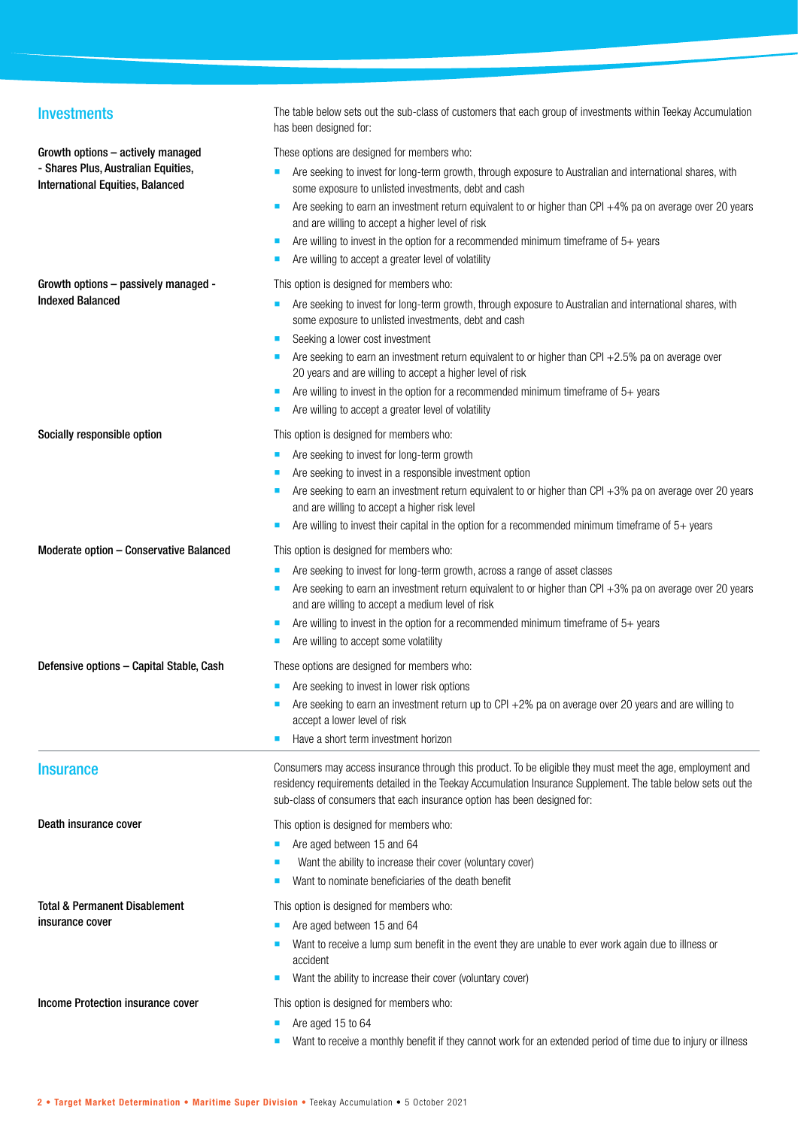| <b>Investments</b>                                                             | The table below sets out the sub-class of customers that each group of investments within Teekay Accumulation<br>has been designed for:                                                                                                                                                                 |
|--------------------------------------------------------------------------------|---------------------------------------------------------------------------------------------------------------------------------------------------------------------------------------------------------------------------------------------------------------------------------------------------------|
| Growth options - actively managed                                              | These options are designed for members who:                                                                                                                                                                                                                                                             |
| - Shares Plus, Australian Equities,<br><b>International Equities, Balanced</b> | Are seeking to invest for long-term growth, through exposure to Australian and international shares, with<br>some exposure to unlisted investments, debt and cash                                                                                                                                       |
|                                                                                | Are seeking to earn an investment return equivalent to or higher than CPI +4% pa on average over 20 years<br>and are willing to accept a higher level of risk                                                                                                                                           |
|                                                                                | Are willing to invest in the option for a recommended minimum timeframe of $5+$ years                                                                                                                                                                                                                   |
|                                                                                | Are willing to accept a greater level of volatility                                                                                                                                                                                                                                                     |
| Growth options - passively managed -                                           | This option is designed for members who:                                                                                                                                                                                                                                                                |
| <b>Indexed Balanced</b>                                                        | Are seeking to invest for long-term growth, through exposure to Australian and international shares, with<br>п<br>some exposure to unlisted investments, debt and cash                                                                                                                                  |
|                                                                                | Seeking a lower cost investment                                                                                                                                                                                                                                                                         |
|                                                                                | Are seeking to earn an investment return equivalent to or higher than CPI $+2.5%$ pa on average over<br>20 years and are willing to accept a higher level of risk                                                                                                                                       |
|                                                                                | Are willing to invest in the option for a recommended minimum timeframe of $5+$ years                                                                                                                                                                                                                   |
|                                                                                | Are willing to accept a greater level of volatility                                                                                                                                                                                                                                                     |
| Socially responsible option                                                    | This option is designed for members who:                                                                                                                                                                                                                                                                |
|                                                                                | Are seeking to invest for long-term growth<br>ш                                                                                                                                                                                                                                                         |
|                                                                                | Are seeking to invest in a responsible investment option                                                                                                                                                                                                                                                |
|                                                                                | Are seeking to earn an investment return equivalent to or higher than CPI +3% pa on average over 20 years<br>and are willing to accept a higher risk level                                                                                                                                              |
|                                                                                | Are willing to invest their capital in the option for a recommended minimum timeframe of $5+$ years                                                                                                                                                                                                     |
| Moderate option - Conservative Balanced                                        | This option is designed for members who:                                                                                                                                                                                                                                                                |
|                                                                                | Are seeking to invest for long-term growth, across a range of asset classes                                                                                                                                                                                                                             |
|                                                                                | Are seeking to earn an investment return equivalent to or higher than CPI +3% pa on average over 20 years<br>and are willing to accept a medium level of risk                                                                                                                                           |
|                                                                                | Are willing to invest in the option for a recommended minimum timeframe of 5+ years                                                                                                                                                                                                                     |
|                                                                                | Are willing to accept some volatility<br>п                                                                                                                                                                                                                                                              |
| Defensive options - Capital Stable, Cash                                       | These options are designed for members who:                                                                                                                                                                                                                                                             |
|                                                                                | Are seeking to invest in lower risk options<br>ш                                                                                                                                                                                                                                                        |
|                                                                                | Are seeking to earn an investment return up to CPI +2% pa on average over 20 years and are willing to<br>accept a lower level of risk                                                                                                                                                                   |
|                                                                                | Have a short term investment horizon                                                                                                                                                                                                                                                                    |
| <b>Insurance</b>                                                               | Consumers may access insurance through this product. To be eligible they must meet the age, employment and<br>residency requirements detailed in the Teekay Accumulation Insurance Supplement. The table below sets out the<br>sub-class of consumers that each insurance option has been designed for: |
| Death insurance cover                                                          | This option is designed for members who:                                                                                                                                                                                                                                                                |
|                                                                                | Are aged between 15 and 64                                                                                                                                                                                                                                                                              |
|                                                                                | Want the ability to increase their cover (voluntary cover)                                                                                                                                                                                                                                              |
|                                                                                | Want to nominate beneficiaries of the death benefit                                                                                                                                                                                                                                                     |
| Total & Permanent Disablement                                                  | This option is designed for members who:                                                                                                                                                                                                                                                                |
| insurance cover                                                                | Are aged between 15 and 64                                                                                                                                                                                                                                                                              |
|                                                                                | Want to receive a lump sum benefit in the event they are unable to ever work again due to illness or<br>accident                                                                                                                                                                                        |
|                                                                                | Want the ability to increase their cover (voluntary cover)                                                                                                                                                                                                                                              |
| Income Protection insurance cover                                              | This option is designed for members who:                                                                                                                                                                                                                                                                |
|                                                                                | Are aged 15 to 64                                                                                                                                                                                                                                                                                       |
|                                                                                | Want to receive a monthly benefit if they cannot work for an extended period of time due to injury or illness                                                                                                                                                                                           |